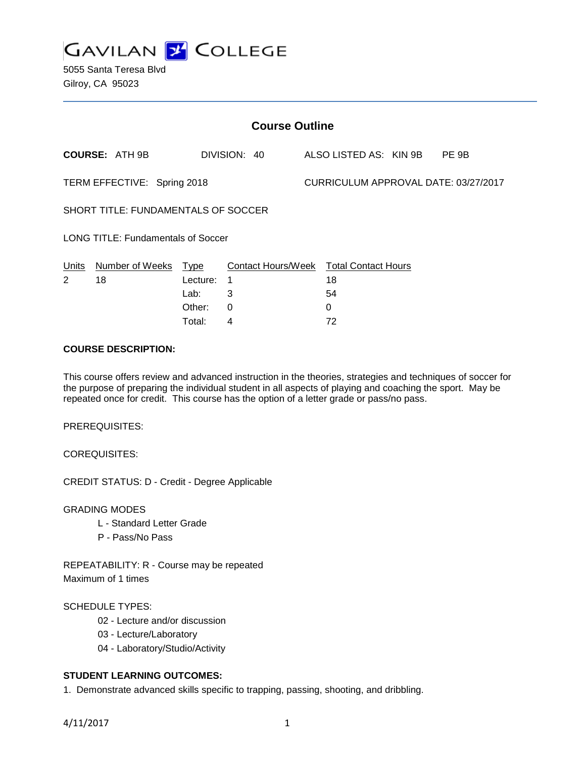

5055 Santa Teresa Blvd Gilroy, CA 95023

| <b>Course Outline</b>                      |                       |             |                    |  |                                      |  |       |  |
|--------------------------------------------|-----------------------|-------------|--------------------|--|--------------------------------------|--|-------|--|
|                                            | <b>COURSE: ATH 9B</b> |             | DIVISION: 40       |  | ALSO LISTED AS: KIN 9B               |  | PE 9B |  |
| TERM EFFECTIVE: Spring 2018                |                       |             |                    |  | CURRICULUM APPROVAL DATE: 03/27/2017 |  |       |  |
| <b>SHORT TITLE: FUNDAMENTALS OF SOCCER</b> |                       |             |                    |  |                                      |  |       |  |
| <b>LONG TITLE: Fundamentals of Soccer</b>  |                       |             |                    |  |                                      |  |       |  |
| Units                                      | Number of Weeks       | <b>Type</b> | Contact Hours/Week |  | <b>Total Contact Hours</b>           |  |       |  |
| 2                                          | 18                    | Lecture:    | 1                  |  | 18                                   |  |       |  |
|                                            |                       | Lab:        | 3                  |  | 54                                   |  |       |  |
|                                            |                       | Other:      | 0                  |  | 0                                    |  |       |  |

## **COURSE DESCRIPTION:**

This course offers review and advanced instruction in the theories, strategies and techniques of soccer for the purpose of preparing the individual student in all aspects of playing and coaching the sport. May be repeated once for credit. This course has the option of a letter grade or pass/no pass.

Total: 4 72

PREREQUISITES:

COREQUISITES:

CREDIT STATUS: D - Credit - Degree Applicable

GRADING MODES

- L Standard Letter Grade
- P Pass/No Pass

REPEATABILITY: R - Course may be repeated Maximum of 1 times

#### SCHEDULE TYPES:

- 02 Lecture and/or discussion
- 03 Lecture/Laboratory
- 04 Laboratory/Studio/Activity

# **STUDENT LEARNING OUTCOMES:**

1. Demonstrate advanced skills specific to trapping, passing, shooting, and dribbling.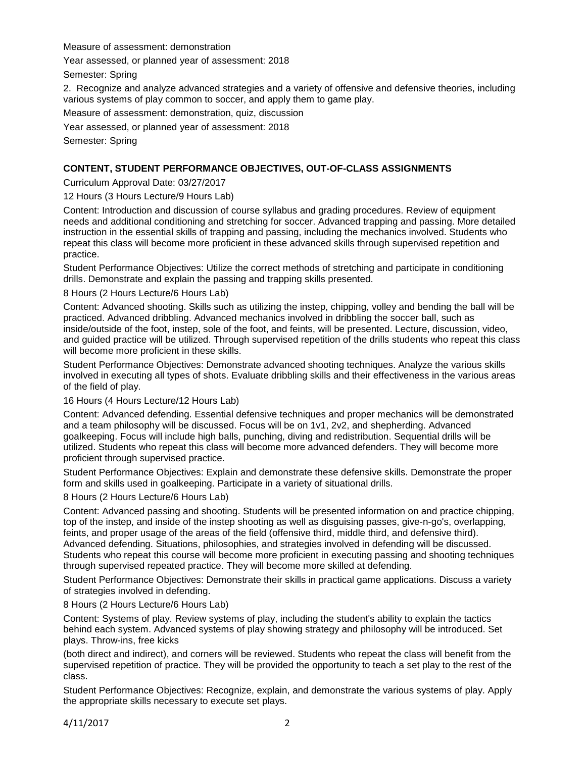Measure of assessment: demonstration

Year assessed, or planned year of assessment: 2018

Semester: Spring

2. Recognize and analyze advanced strategies and a variety of offensive and defensive theories, including various systems of play common to soccer, and apply them to game play.

Measure of assessment: demonstration, quiz, discussion

Year assessed, or planned year of assessment: 2018

Semester: Spring

## **CONTENT, STUDENT PERFORMANCE OBJECTIVES, OUT-OF-CLASS ASSIGNMENTS**

Curriculum Approval Date: 03/27/2017

12 Hours (3 Hours Lecture/9 Hours Lab)

Content: Introduction and discussion of course syllabus and grading procedures. Review of equipment needs and additional conditioning and stretching for soccer. Advanced trapping and passing. More detailed instruction in the essential skills of trapping and passing, including the mechanics involved. Students who repeat this class will become more proficient in these advanced skills through supervised repetition and practice.

Student Performance Objectives: Utilize the correct methods of stretching and participate in conditioning drills. Demonstrate and explain the passing and trapping skills presented.

8 Hours (2 Hours Lecture/6 Hours Lab)

Content: Advanced shooting. Skills such as utilizing the instep, chipping, volley and bending the ball will be practiced. Advanced dribbling. Advanced mechanics involved in dribbling the soccer ball, such as inside/outside of the foot, instep, sole of the foot, and feints, will be presented. Lecture, discussion, video, and guided practice will be utilized. Through supervised repetition of the drills students who repeat this class will become more proficient in these skills.

Student Performance Objectives: Demonstrate advanced shooting techniques. Analyze the various skills involved in executing all types of shots. Evaluate dribbling skills and their effectiveness in the various areas of the field of play.

16 Hours (4 Hours Lecture/12 Hours Lab)

Content: Advanced defending. Essential defensive techniques and proper mechanics will be demonstrated and a team philosophy will be discussed. Focus will be on 1v1, 2v2, and shepherding. Advanced goalkeeping. Focus will include high balls, punching, diving and redistribution. Sequential drills will be utilized. Students who repeat this class will become more advanced defenders. They will become more proficient through supervised practice.

Student Performance Objectives: Explain and demonstrate these defensive skills. Demonstrate the proper form and skills used in goalkeeping. Participate in a variety of situational drills.

8 Hours (2 Hours Lecture/6 Hours Lab)

Content: Advanced passing and shooting. Students will be presented information on and practice chipping, top of the instep, and inside of the instep shooting as well as disguising passes, give-n-go's, overlapping, feints, and proper usage of the areas of the field (offensive third, middle third, and defensive third). Advanced defending. Situations, philosophies, and strategies involved in defending will be discussed. Students who repeat this course will become more proficient in executing passing and shooting techniques through supervised repeated practice. They will become more skilled at defending.

Student Performance Objectives: Demonstrate their skills in practical game applications. Discuss a variety of strategies involved in defending.

8 Hours (2 Hours Lecture/6 Hours Lab)

Content: Systems of play. Review systems of play, including the student's ability to explain the tactics behind each system. Advanced systems of play showing strategy and philosophy will be introduced. Set plays. Throw-ins, free kicks

(both direct and indirect), and corners will be reviewed. Students who repeat the class will benefit from the supervised repetition of practice. They will be provided the opportunity to teach a set play to the rest of the class.

Student Performance Objectives: Recognize, explain, and demonstrate the various systems of play. Apply the appropriate skills necessary to execute set plays.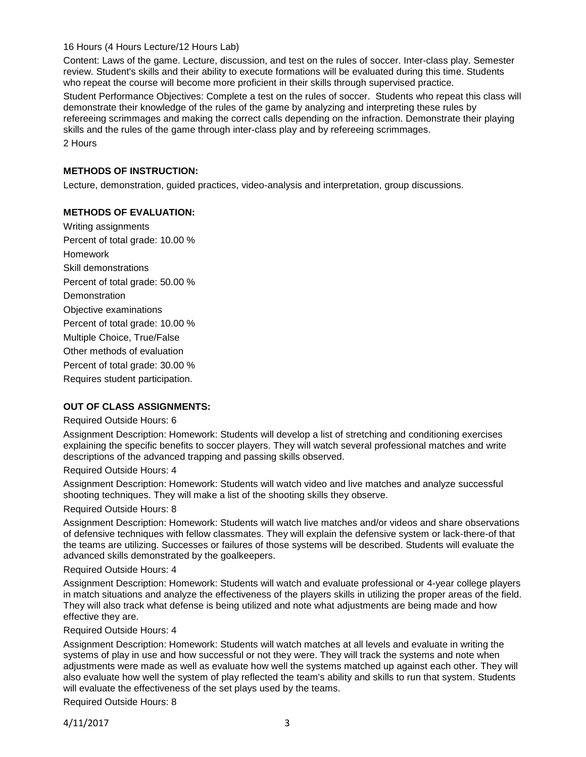16 Hours (4 Hours Lecture/12 Hours Lab)

Content: Laws of the game. Lecture, discussion, and test on the rules of soccer. Inter-class play. Semester review. Student's skills and their ability to execute formations will be evaluated during this time. Students who repeat the course will become more proficient in their skills through supervised practice.

Student Performance Objectives: Complete a test on the rules of soccer. Students who repeat this class will demonstrate their knowledge of the rules of the game by analyzing and interpreting these rules by refereeing scrimmages and making the correct calls depending on the infraction. Demonstrate their playing skills and the rules of the game through inter-class play and by refereeing scrimmages. 2 Hours

# **METHODS OF INSTRUCTION:**

Lecture, demonstration, guided practices, video-analysis and interpretation, group discussions.

## **METHODS OF EVALUATION:**

Writing assignments Percent of total grade: 10.00 % Homework Skill demonstrations Percent of total grade: 50.00 % **Demonstration** Objective examinations Percent of total grade: 10.00 % Multiple Choice, True/False Other methods of evaluation Percent of total grade: 30.00 % Requires student participation.

## **OUT OF CLASS ASSIGNMENTS:**

#### Required Outside Hours: 6

Assignment Description: Homework: Students will develop a list of stretching and conditioning exercises explaining the specific benefits to soccer players. They will watch several professional matches and write descriptions of the advanced trapping and passing skills observed.

#### Required Outside Hours: 4

Assignment Description: Homework: Students will watch video and live matches and analyze successful shooting techniques. They will make a list of the shooting skills they observe.

#### Required Outside Hours: 8

Assignment Description: Homework: Students will watch live matches and/or videos and share observations of defensive techniques with fellow classmates. They will explain the defensive system or lack-there-of that the teams are utilizing. Successes or failures of those systems will be described. Students will evaluate the advanced skills demonstrated by the goalkeepers.

#### Required Outside Hours: 4

Assignment Description: Homework: Students will watch and evaluate professional or 4-year college players in match situations and analyze the effectiveness of the players skills in utilizing the proper areas of the field. They will also track what defense is being utilized and note what adjustments are being made and how effective they are.

#### Required Outside Hours: 4

Assignment Description: Homework: Students will watch matches at all levels and evaluate in writing the systems of play in use and how successful or not they were. They will track the systems and note when adjustments were made as well as evaluate how well the systems matched up against each other. They will also evaluate how well the system of play reflected the team's ability and skills to run that system. Students will evaluate the effectiveness of the set plays used by the teams.

Required Outside Hours: 8